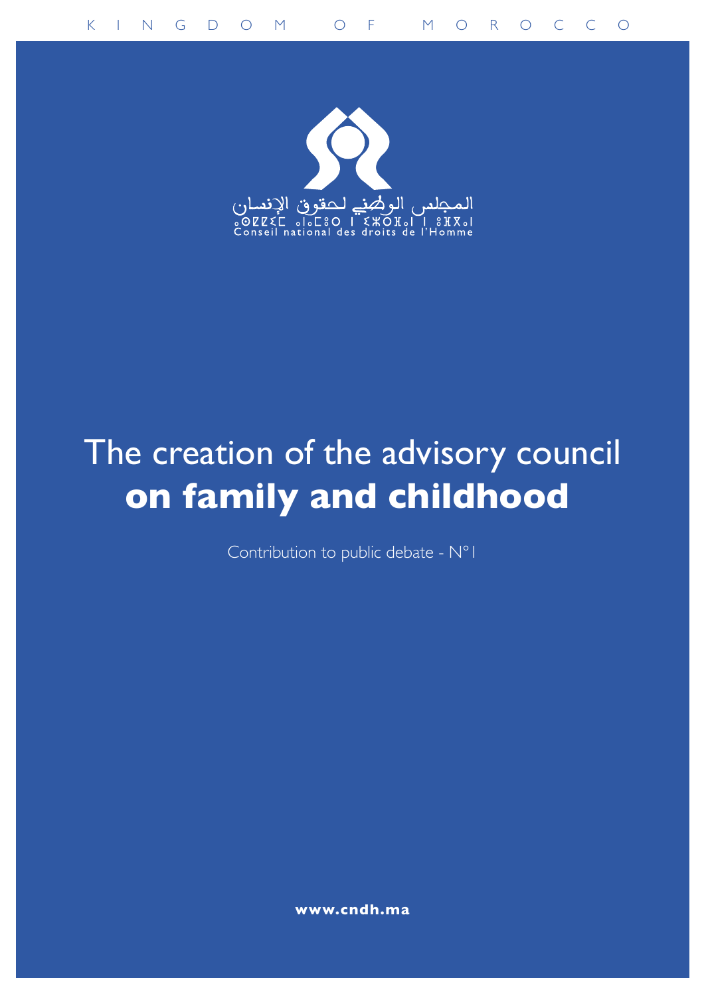

# The creation of the advisory council **on family and childhood**

Contribution to public debate - N°1

**www.cndh.ma**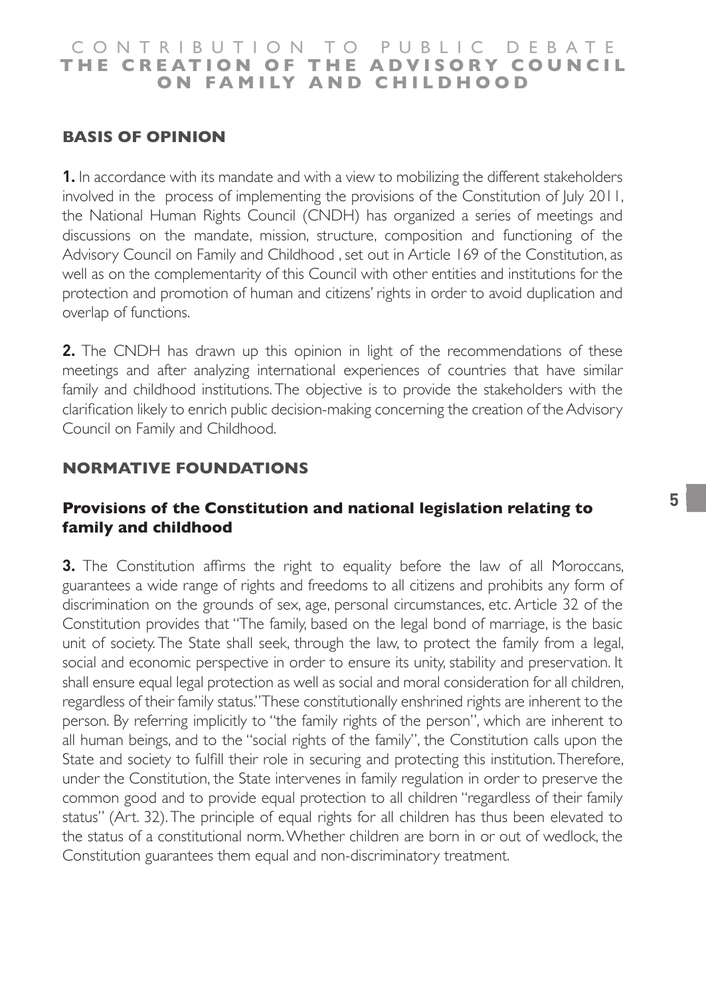# **BASIS OF OPINION**

**1.** In accordance with its mandate and with a view to mobilizing the different stakeholders involved in the process of implementing the provisions of the Constitution of July 2011, the National Human Rights Council (CNDH) has organized a series of meetings and discussions on the mandate, mission, structure, composition and functioning of the Advisory Council on Family and Childhood , set out in Article 169 of the Constitution, as well as on the complementarity of this Council with other entities and institutions for the protection and promotion of human and citizens' rights in order to avoid duplication and overlap of functions.

**2.** The CNDH has drawn up this opinion in light of the recommendations of these meetings and after analyzing international experiences of countries that have similar family and childhood institutions. The objective is to provide the stakeholders with the clarification likely to enrich public decision-making concerning the creation of the Advisory Council on Family and Childhood.

## **NORMATIVE FOUNDATIONS**

### **Provisions of the Constitution and national legislation relating to family and childhood**

**3.** The Constitution affirms the right to equality before the law of all Moroccans, guarantees a wide range of rights and freedoms to all citizens and prohibits any form of discrimination on the grounds of sex, age, personal circumstances, etc. Article 32 of the Constitution provides that "The family, based on the legal bond of marriage, is the basic unit of society. The State shall seek, through the law, to protect the family from a legal, social and economic perspective in order to ensure its unity, stability and preservation. It shall ensure equal legal protection as well as social and moral consideration for all children, regardless of their family status." These constitutionally enshrined rights are inherent to the person. By referring implicitly to "the family rights of the person", which are inherent to all human beings, and to the "social rights of the family", the Constitution calls upon the State and society to fulfill their role in securing and protecting this institution. Therefore, under the Constitution, the State intervenes in family regulation in order to preserve the common good and to provide equal protection to all children "regardless of their family status" (Art. 32). The principle of equal rights for all children has thus been elevated to the status of a constitutional norm. Whether children are born in or out of wedlock, the Constitution guarantees them equal and non-discriminatory treatment.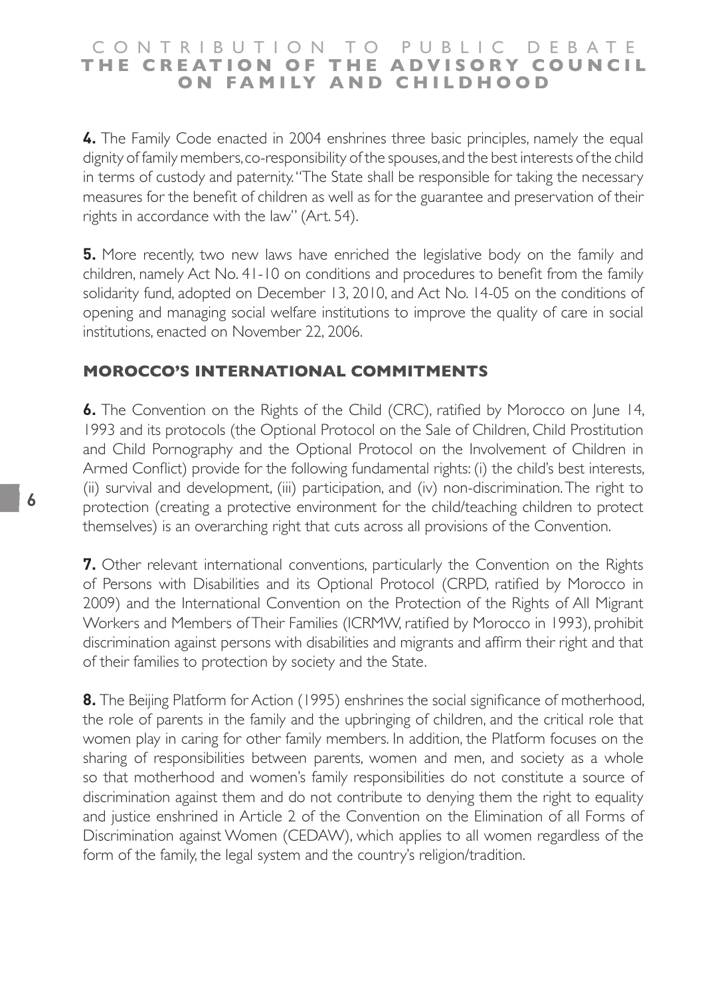**4.** The Family Code enacted in 2004 enshrines three basic principles, namely the equal dignity of family members, co-responsibility of the spouses, and the best interests of the child in terms of custody and paternity. "The State shall be responsible for taking the necessary measures for the benefit of children as well as for the guarantee and preservation of their rights in accordance with the law" (Art. 54).

**5.** More recently, two new laws have enriched the legislative body on the family and children, namely Act No. 41-10 on conditions and procedures to benefit from the family solidarity fund, adopted on December 13, 2010, and Act No. 14-05 on the conditions of opening and managing social welfare institutions to improve the quality of care in social institutions, enacted on November 22, 2006.

#### **MOROCCO'S INTERNATIONAL COMMITMENTS**

**6.** The Convention on the Rights of the Child (CRC), ratified by Morocco on June 14, 1993 and its protocols (the Optional Protocol on the Sale of Children, Child Prostitution and Child Pornography and the Optional Protocol on the Involvement of Children in Armed Conflict) provide for the following fundamental rights: (i) the child's best interests, (ii) survival and development, (iii) participation, and (iv) non-discrimination. The right to protection (creating a protective environment for the child/teaching children to protect themselves) is an overarching right that cuts across all provisions of the Convention.

**7.** Other relevant international conventions, particularly the Convention on the Rights of Persons with Disabilities and its Optional Protocol (CRPD, ratified by Morocco in 2009) and the International Convention on the Protection of the Rights of All Migrant Workers and Members of Their Families (ICRMW, ratified by Morocco in 1993), prohibit discrimination against persons with disabilities and migrants and affirm their right and that of their families to protection by society and the State.

**8.** The Beijing Platform for Action (1995) enshrines the social significance of motherhood, the role of parents in the family and the upbringing of children, and the critical role that women play in caring for other family members. In addition, the Platform focuses on the sharing of responsibilities between parents, women and men, and society as a whole so that motherhood and women's family responsibilities do not constitute a source of discrimination against them and do not contribute to denying them the right to equality and justice enshrined in Article 2 of the Convention on the Elimination of all Forms of Discrimination against Women (CEDAW), which applies to all women regardless of the form of the family, the legal system and the country's religion/tradition.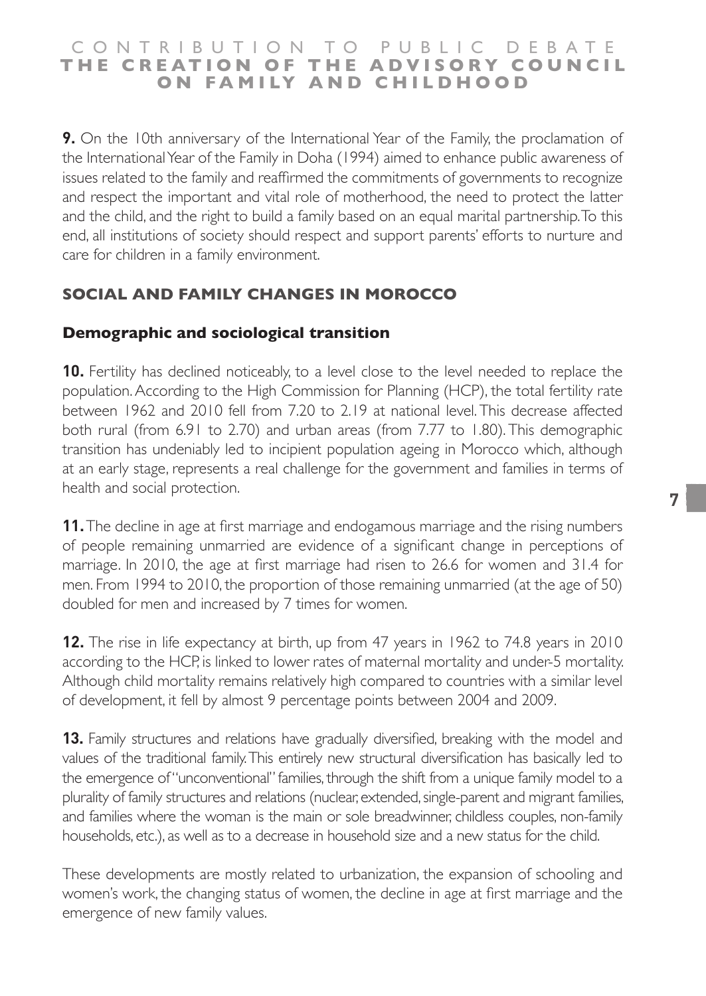## CONTRIBUTION TO PUBLIC DEBATE **T H E C R E AT I O N O F T H E A D V I S O R Y C O U N C I L O N F A M I LY A N D C H I L D H O O D**

**9.** On the 10th anniversary of the International Year of the Family, the proclamation of the International Year of the Family in Doha (1994) aimed to enhance public awareness of issues related to the family and reaffirmed the commitments of governments to recognize and respect the important and vital role of motherhood, the need to protect the latter and the child, and the right to build a family based on an equal marital partnership. To this end, all institutions of society should respect and support parents' efforts to nurture and care for children in a family environment.

## **SOCIAL AND FAMILY CHANGES IN MOROCCO**

## **Demographic and sociological transition**

**10.** Fertility has declined noticeably, to a level close to the level needed to replace the population. According to the High Commission for Planning (HCP), the total fertility rate between 1962 and 2010 fell from 7.20 to 2.19 at national level. This decrease affected both rural (from 6.91 to 2.70) and urban areas (from 7.77 to 1.80). This demographic transition has undeniably led to incipient population ageing in Morocco which, although at an early stage, represents a real challenge for the government and families in terms of health and social protection.

**11.** The decline in age at first marriage and endogamous marriage and the rising numbers of people remaining unmarried are evidence of a significant change in perceptions of marriage. In 2010, the age at first marriage had risen to 26.6 for women and 31.4 for men. From 1994 to 2010, the proportion of those remaining unmarried (at the age of 50) doubled for men and increased by 7 times for women.

**12.** The rise in life expectancy at birth, up from 47 years in 1962 to 74.8 years in 2010 according to the HCP, is linked to lower rates of maternal mortality and under-5 mortality. Although child mortality remains relatively high compared to countries with a similar level of development, it fell by almost 9 percentage points between 2004 and 2009.

**13.** Family structures and relations have gradually diversified, breaking with the model and values of the traditional family. This entirely new structural diversification has basically led to the emergence of "unconventional" families, through the shift from a unique family model to a plurality of family structures and relations (nuclear, extended, single-parent and migrant families, and families where the woman is the main or sole breadwinner, childless couples, non-family households, etc.), as well as to a decrease in household size and a new status for the child.

These developments are mostly related to urbanization, the expansion of schooling and women's work, the changing status of women, the decline in age at first marriage and the emergence of new family values.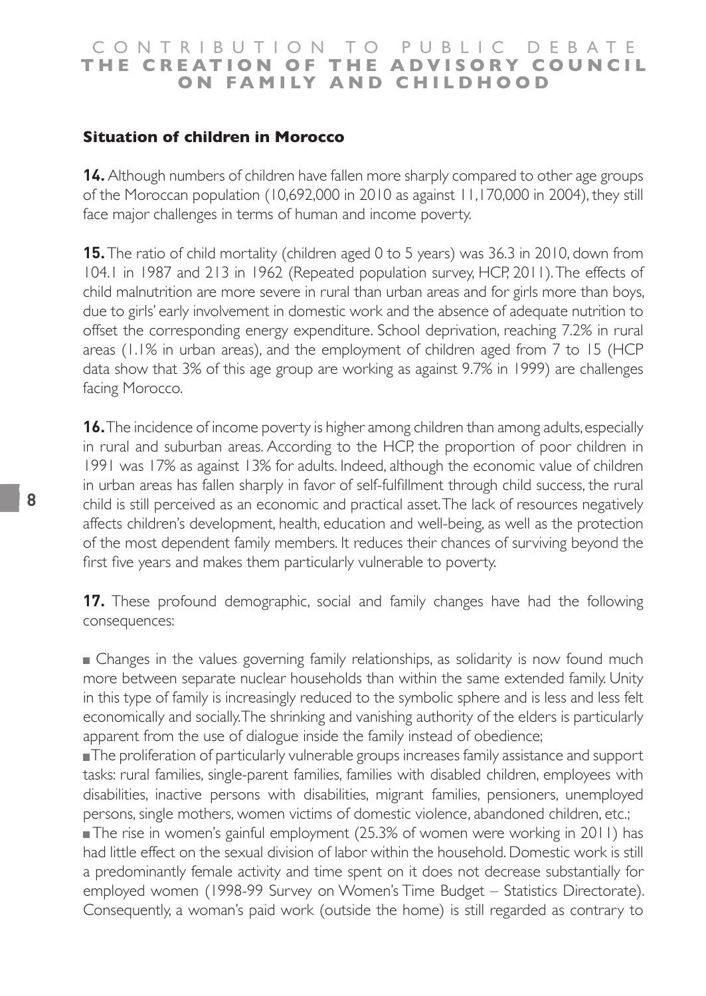#### **Situation of children in Morocco**

**14.** Although numbers of children have fallen more sharply compared to other age groups of the Moroccan population (10,692,000 in 2010 as against 11,170,000 in 2004), they still face major challenges in terms of human and income poverty.

**15.** The ratio of child mortality (children aged 0 to 5 years) was 36.3 in 2010, down from 104.1 in 1987 and 213 in 1962 (Repeated population survey, HCP, 2011). The effects of child malnutrition are more severe in rural than urban areas and for girls more than boys, due to girls' early involvement in domestic work and the absence of adequate nutrition to offset the corresponding energy expenditure. School deprivation, reaching 7.2% in rural areas (1.1% in urban areas), and the employment of children aged from 7 to 15 (HCP data show that 3% of this age group are working as against 9.7% in 1999) are challenges facing Morocco.

**16.** The incidence of income poverty is higher among children than among adults, especially in rural and suburban areas. According to the HCP, the proportion of poor children in 1991 was 17% as against 13% for adults. Indeed, although the economic value of children in urban areas has fallen sharply in favor of self-fulfillment through child success, the rural child is still perceived as an economic and practical asset. The lack of resources negatively affects children's development, health, education and well-being, as well as the protection of the most dependent family members. It reduces their chances of surviving beyond the first five years and makes them particularly vulnerable to poverty.

**17.** These profound demographic, social and family changes have had the following consequences:

 Changes in the values governing family relationships, as solidarity is now found much more between separate nuclear households than within the same extended family. Unity in this type of family is increasingly reduced to the symbolic sphere and is less and less felt economically and socially. The shrinking and vanishing authority of the elders is particularly apparent from the use of dialogue inside the family instead of obedience;

The proliferation of particularly vulnerable groups increases family assistance and support tasks: rural families, single-parent families, families with disabled children, employees with disabilities, inactive persons with disabilities, migrant families, pensioners, unemployed persons, single mothers, women victims of domestic violence, abandoned children, etc.;

■The rise in women's gainful employment (25.3% of women were working in 2011) has had little effect on the sexual division of labor within the household. Domestic work is still a predominantly female activity and time spent on it does not decrease substantially for employed women (1998-99 Survey on Women's Time Budget – Statistics Directorate). Consequently, a woman's paid work (outside the home) is still regarded as contrary to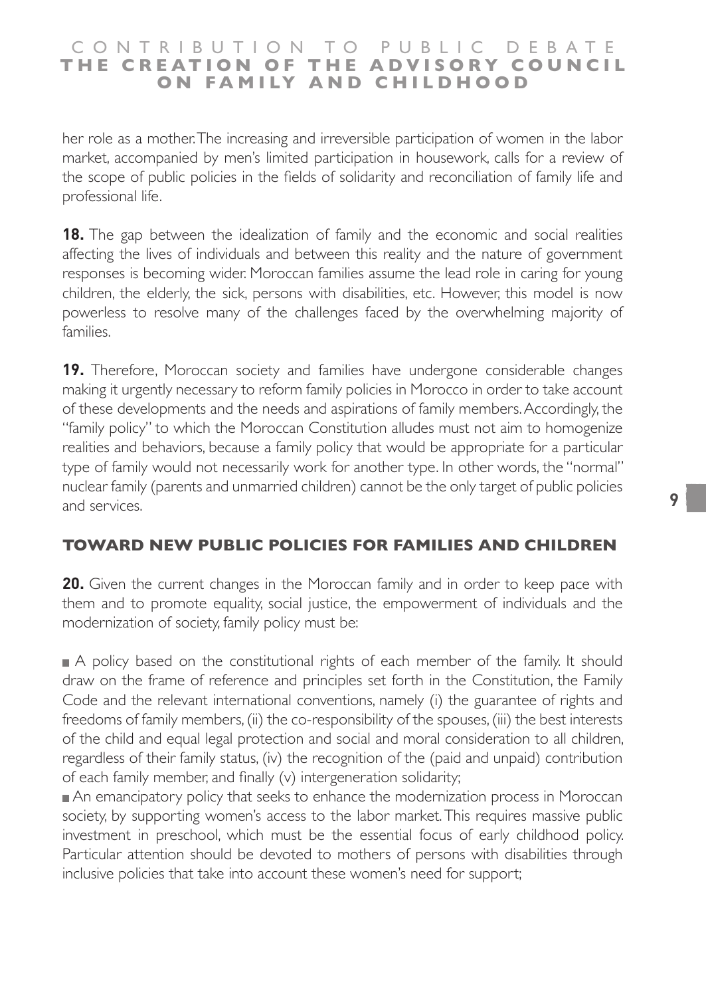her role as a mother. The increasing and irreversible participation of women in the labor market, accompanied by men's limited participation in housework, calls for a review of the scope of public policies in the fields of solidarity and reconciliation of family life and professional life.

**18.** The gap between the idealization of family and the economic and social realities affecting the lives of individuals and between this reality and the nature of government responses is becoming wider. Moroccan families assume the lead role in caring for young children, the elderly, the sick, persons with disabilities, etc. However, this model is now powerless to resolve many of the challenges faced by the overwhelming majority of families.

**19.** Therefore, Moroccan society and families have undergone considerable changes making it urgently necessary to reform family policies in Morocco in order to take account of these developments and the needs and aspirations of family members. Accordingly, the "family policy" to which the Moroccan Constitution alludes must not aim to homogenize realities and behaviors, because a family policy that would be appropriate for a particular type of family would not necessarily work for another type. In other words, the "normal" nuclear family (parents and unmarried children) cannot be the only target of public policies and services.

# **TOWARD NEW PUBLIC POLICIES FOR FAMILIES AND CHILDREN**

**20.** Given the current changes in the Moroccan family and in order to keep pace with them and to promote equality, social justice, the empowerment of individuals and the modernization of society, family policy must be:

A policy based on the constitutional rights of each member of the family. It should draw on the frame of reference and principles set forth in the Constitution, the Family Code and the relevant international conventions, namely (i) the guarantee of rights and freedoms of family members, (ii) the co-responsibility of the spouses, (iii) the best interests of the child and equal legal protection and social and moral consideration to all children, regardless of their family status, (iv) the recognition of the (paid and unpaid) contribution of each family member, and finally (v) intergeneration solidarity;

An emancipatory policy that seeks to enhance the modernization process in Moroccan society, by supporting women's access to the labor market. This requires massive public investment in preschool, which must be the essential focus of early childhood policy. Particular attention should be devoted to mothers of persons with disabilities through inclusive policies that take into account these women's need for support;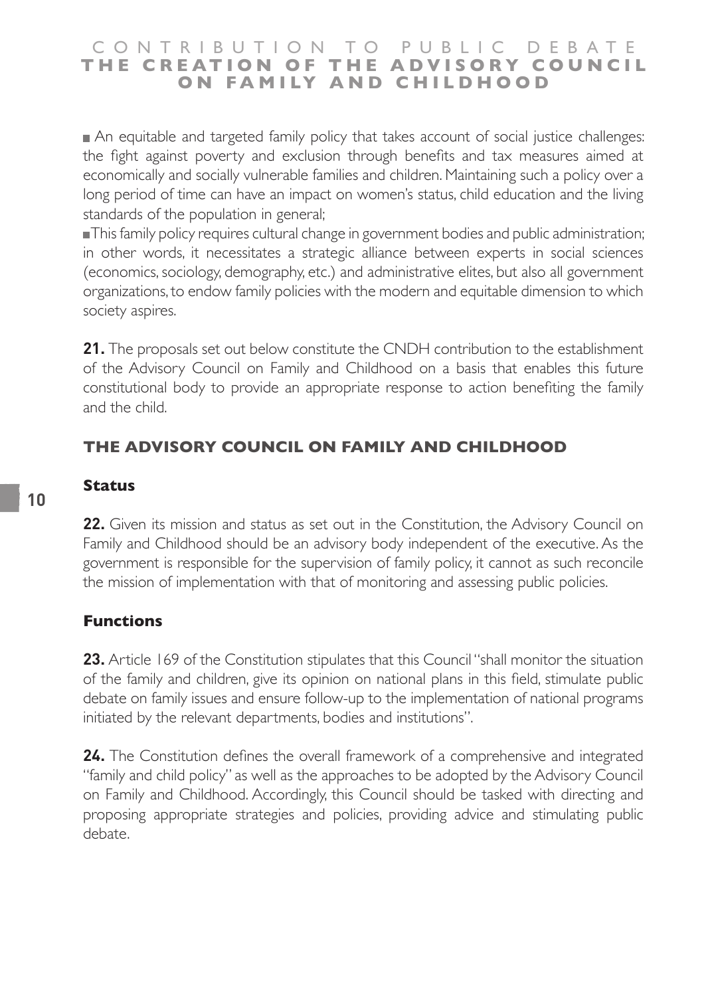An equitable and targeted family policy that takes account of social justice challenges: the fight against poverty and exclusion through benefits and tax measures aimed at economically and socially vulnerable families and children. Maintaining such a policy over a long period of time can have an impact on women's status, child education and the living standards of the population in general;

This family policy requires cultural change in government bodies and public administration; in other words, it necessitates a strategic alliance between experts in social sciences (economics, sociology, demography, etc.) and administrative elites, but also all government organizations, to endow family policies with the modern and equitable dimension to which society aspires.

**21.** The proposals set out below constitute the CNDH contribution to the establishment of the Advisory Council on Family and Childhood on a basis that enables this future constitutional body to provide an appropriate response to action benefiting the family and the child.

# **THE ADVISORY COUNCIL ON FAMILY AND CHILDHOOD**

#### **Status**

**22.** Given its mission and status as set out in the Constitution, the Advisory Council on Family and Childhood should be an advisory body independent of the executive. As the government is responsible for the supervision of family policy, it cannot as such reconcile the mission of implementation with that of monitoring and assessing public policies.

#### **Functions**

**23.** Article 169 of the Constitution stipulates that this Council "shall monitor the situation of the family and children, give its opinion on national plans in this field, stimulate public debate on family issues and ensure follow-up to the implementation of national programs initiated by the relevant departments, bodies and institutions".

**24.** The Constitution defines the overall framework of a comprehensive and integrated "family and child policy" as well as the approaches to be adopted by the Advisory Council on Family and Childhood. Accordingly, this Council should be tasked with directing and proposing appropriate strategies and policies, providing advice and stimulating public debate.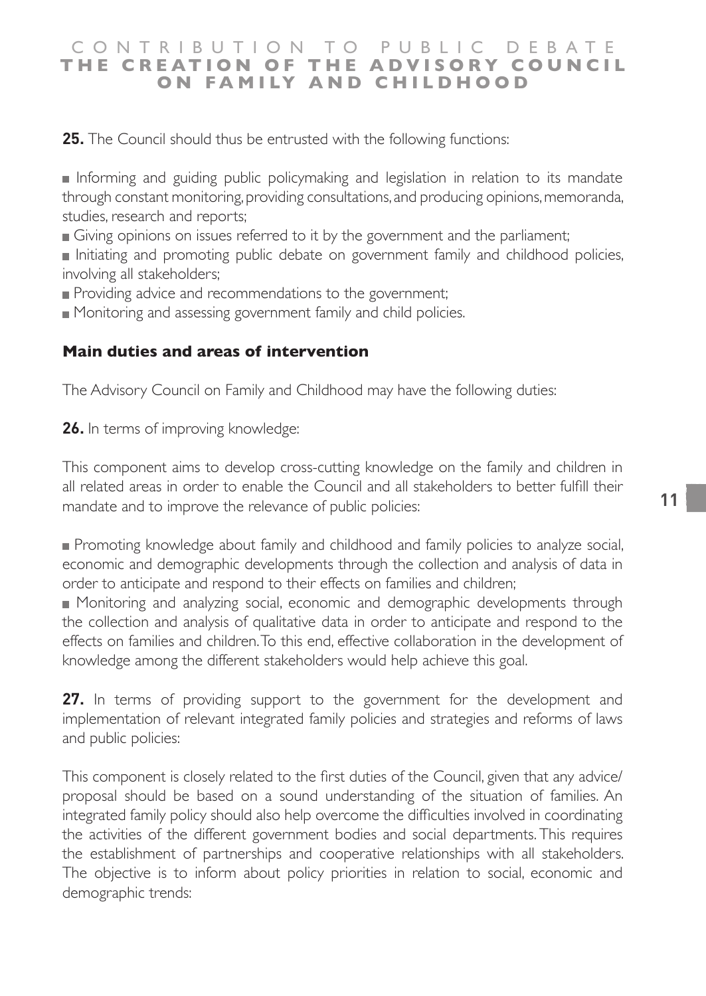**25.** The Council should thus be entrusted with the following functions:

Informing and guiding public policymaking and legislation in relation to its mandate through constant monitoring, providing consultations, and producing opinions, memoranda, studies, research and reports;

Giving opinions on issues referred to it by the government and the parliament;

Initiating and promoting public debate on government family and childhood policies, involving all stakeholders;

Providing advice and recommendations to the government;

Monitoring and assessing government family and child policies.

#### **Main duties and areas of intervention**

The Advisory Council on Family and Childhood may have the following duties:

**26.** In terms of improving knowledge:

This component aims to develop cross-cutting knowledge on the family and children in all related areas in order to enable the Council and all stakeholders to better fulfill their mandate and to improve the relevance of public policies:

**Promoting knowledge about family and childhood and family policies to analyze social,** economic and demographic developments through the collection and analysis of data in order to anticipate and respond to their effects on families and children;

 Monitoring and analyzing social, economic and demographic developments through the collection and analysis of qualitative data in order to anticipate and respond to the effects on families and children. To this end, effective collaboration in the development of knowledge among the different stakeholders would help achieve this goal.

**27.** In terms of providing support to the government for the development and implementation of relevant integrated family policies and strategies and reforms of laws and public policies:

This component is closely related to the first duties of the Council, given that any advice/ proposal should be based on a sound understanding of the situation of families. An integrated family policy should also help overcome the difficulties involved in coordinating the activities of the different government bodies and social departments. This requires the establishment of partnerships and cooperative relationships with all stakeholders. The objective is to inform about policy priorities in relation to social, economic and demographic trends: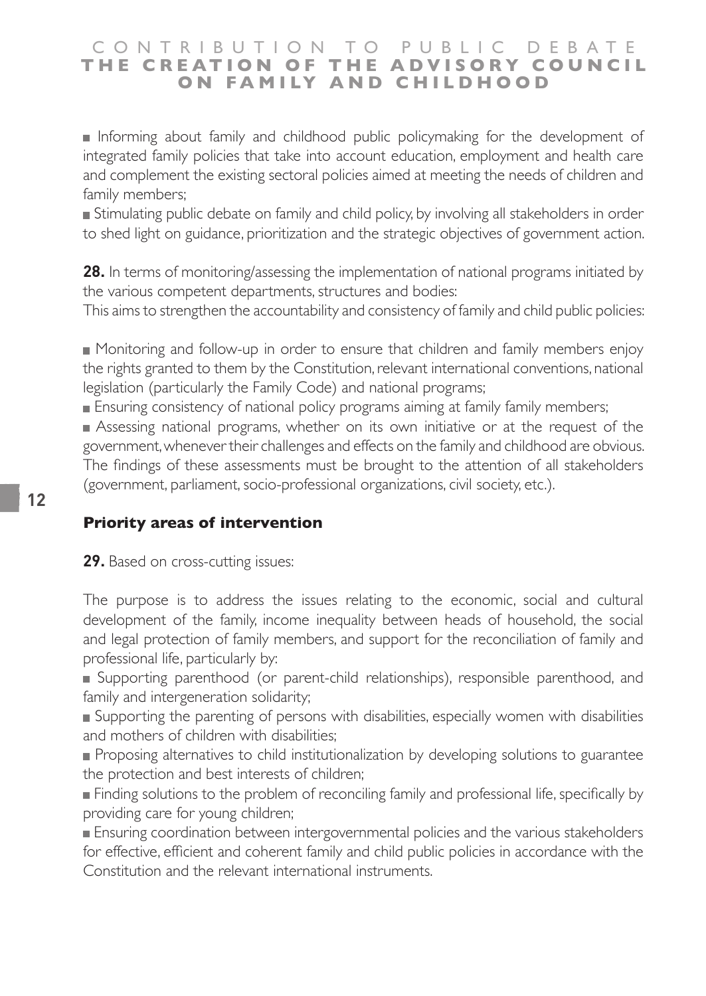Informing about family and childhood public policymaking for the development of integrated family policies that take into account education, employment and health care and complement the existing sectoral policies aimed at meeting the needs of children and family members;

 Stimulating public debate on family and child policy, by involving all stakeholders in order to shed light on guidance, prioritization and the strategic objectives of government action.

**28.** In terms of monitoring/assessing the implementation of national programs initiated by the various competent departments, structures and bodies:

This aims to strengthen the accountability and consistency of family and child public policies:

 Monitoring and follow-up in order to ensure that children and family members enjoy the rights granted to them by the Constitution, relevant international conventions, national legislation (particularly the Family Code) and national programs;

Ensuring consistency of national policy programs aiming at family family members;

 Assessing national programs, whether on its own initiative or at the request of the government, whenever their challenges and effects on the family and childhood are obvious. The findings of these assessments must be brought to the attention of all stakeholders (government, parliament, socio-professional organizations, civil society, etc.).

## **Priority areas of intervention**

**29.** Based on cross-cutting issues:

The purpose is to address the issues relating to the economic, social and cultural development of the family, income inequality between heads of household, the social and legal protection of family members, and support for the reconciliation of family and professional life, particularly by:

 Supporting parenthood (or parent-child relationships), responsible parenthood, and family and intergeneration solidarity;

Supporting the parenting of persons with disabilities, especially women with disabilities and mothers of children with disabilities;

Proposing alternatives to child institutionalization by developing solutions to guarantee the protection and best interests of children;

**Finding solutions to the problem of reconciling family and professional life, specifically by** providing care for young children;

 Ensuring coordination between intergovernmental policies and the various stakeholders for effective, efficient and coherent family and child public policies in accordance with the Constitution and the relevant international instruments.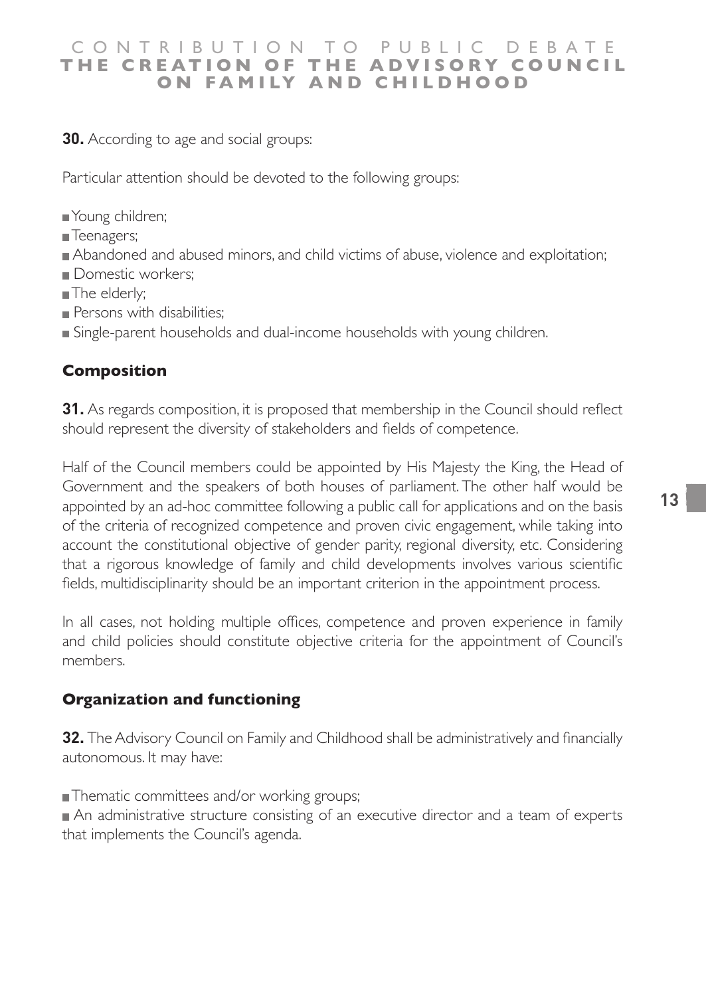**30.** According to age and social groups:

Particular attention should be devoted to the following groups:

- Young children;
- **Teenagers**:
- Abandoned and abused minors, and child victims of abuse, violence and exploitation;
- Domestic workers:
- The elderly;
- Persons with disabilities:
- Single-parent households and dual-income households with young children.

## **Composition**

**31.** As regards composition, it is proposed that membership in the Council should reflect should represent the diversity of stakeholders and fields of competence.

Half of the Council members could be appointed by His Majesty the King, the Head of Government and the speakers of both houses of parliament. The other half would be appointed by an ad-hoc committee following a public call for applications and on the basis of the criteria of recognized competence and proven civic engagement, while taking into account the constitutional objective of gender parity, regional diversity, etc. Considering that a rigorous knowledge of family and child developments involves various scientific fields, multidisciplinarity should be an important criterion in the appointment process.

In all cases, not holding multiple offices, competence and proven experience in family and child policies should constitute objective criteria for the appointment of Council's members.

#### **Organization and functioning**

**32.** The Advisory Council on Family and Childhood shall be administratively and financially autonomous. It may have:

■Thematic committees and/or working groups;

An administrative structure consisting of an executive director and a team of experts that implements the Council's agenda.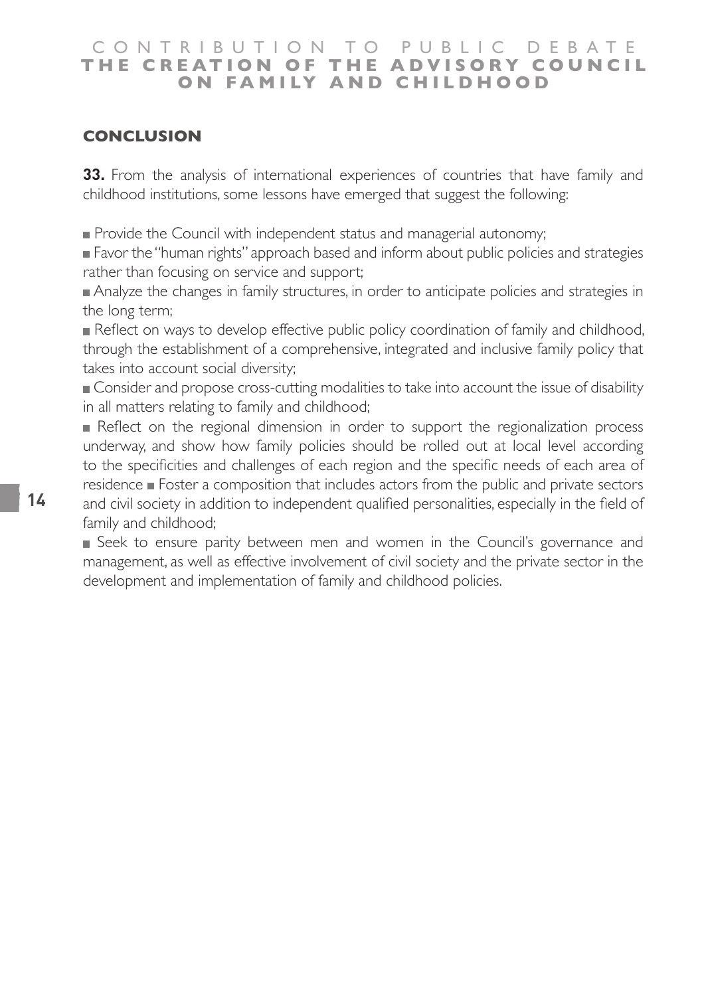#### CONTRIBUTION TO PUBLIC DEBATE **T H E C R E AT I O N O F T H E A D V I S O R Y C O U N C I L ON FAMILY AND CHILDHOOD**

## **CONCLUSION**

**33.** From the analysis of international experiences of countries that have family and childhood institutions, some lessons have emerged that suggest the following:

Provide the Council with independent status and managerial autonomy;

 Favor the "human rights" approach based and inform about public policies and strategies rather than focusing on service and support;

Analyze the changes in family structures, in order to anticipate policies and strategies in the long term;

Reflect on ways to develop effective public policy coordination of family and childhood, through the establishment of a comprehensive, integrated and inclusive family policy that takes into account social diversity;

 Consider and propose cross-cutting modalities to take into account the issue of disability in all matters relating to family and childhood;

Reflect on the regional dimension in order to support the regionalization process underway, and show how family policies should be rolled out at local level according to the specificities and challenges of each region and the specific needs of each area of  $r$ esidence  $\blacksquare$  Foster a composition that includes actors from the public and private sectors and civil society in addition to independent qualified personalities, especially in the field of family and childhood;

 Seek to ensure parity between men and women in the Council's governance and management, as well as effective involvement of civil society and the private sector in the development and implementation of family and childhood policies.